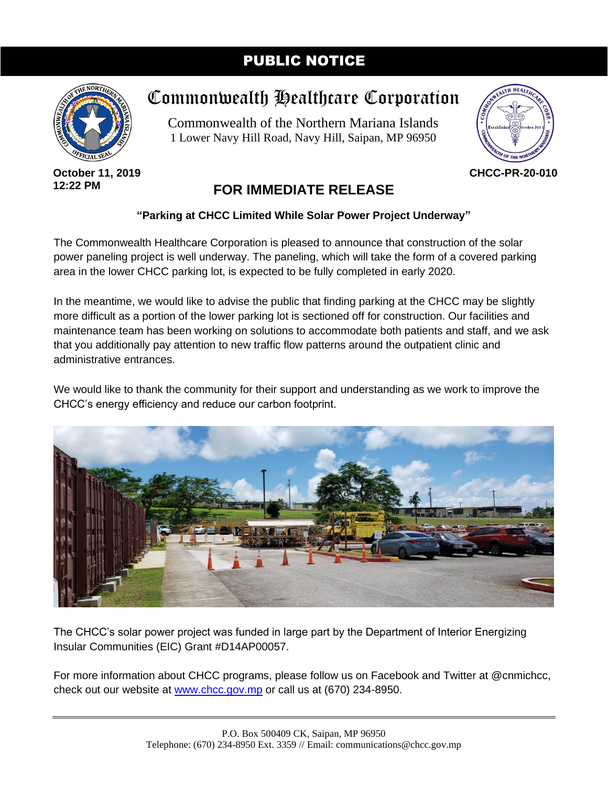## PUBLIC NOTICE



**October 11, 2019 12:22 PM**

## Commonwealth Healthcare Corporation

Commonwealth of the Northern Mariana Islands 1 Lower Navy Hill Road, Navy Hill, Saipan, MP 96950



**CHCC-PR-20-010**

## **FOR IMMEDIATE RELEASE**

## **"Parking at CHCC Limited While Solar Power Project Underway"**

The Commonwealth Healthcare Corporation is pleased to announce that construction of the solar power paneling project is well underway. The paneling, which will take the form of a covered parking area in the lower CHCC parking lot, is expected to be fully completed in early 2020.

In the meantime, we would like to advise the public that finding parking at the CHCC may be slightly more difficult as a portion of the lower parking lot is sectioned off for construction. Our facilities and maintenance team has been working on solutions to accommodate both patients and staff, and we ask that you additionally pay attention to new traffic flow patterns around the outpatient clinic and administrative entrances.

We would like to thank the community for their support and understanding as we work to improve the CHCC's energy efficiency and reduce our carbon footprint.



The CHCC's solar power project was funded in large part by the Department of Interior Energizing Insular Communities (EIC) Grant #D14AP00057.

For more information about CHCC programs, please follow us on Facebook and Twitter at @cnmichcc, check out our website at [www.chcc.gov.mp](http://www.chcc.gov.mp/) or call us at (670) 234-8950.